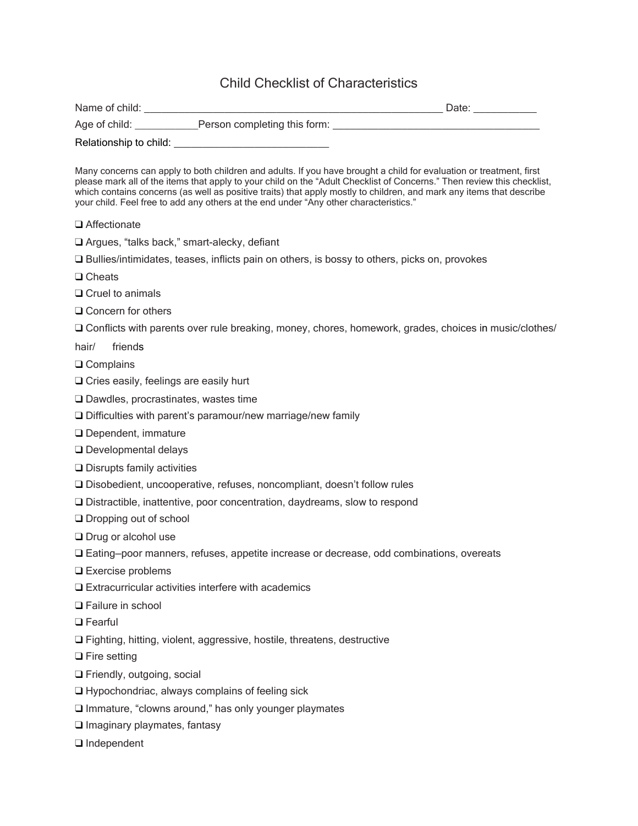## Child Checklist of Characteristics

|                            | Age of child: Person completing this form: 1997 1997 1998 1999                                                                                                                                                                                                                                                                                                                                                                                                  |  |
|----------------------------|-----------------------------------------------------------------------------------------------------------------------------------------------------------------------------------------------------------------------------------------------------------------------------------------------------------------------------------------------------------------------------------------------------------------------------------------------------------------|--|
|                            |                                                                                                                                                                                                                                                                                                                                                                                                                                                                 |  |
|                            | Many concerns can apply to both children and adults. If you have brought a child for evaluation or treatment, first<br>please mark all of the items that apply to your child on the "Adult Checklist of Concerns." Then review this checklist,<br>which contains concerns (as well as positive traits) that apply mostly to children, and mark any items that describe<br>your child. Feel free to add any others at the end under "Any other characteristics." |  |
| □ Affectionate             |                                                                                                                                                                                                                                                                                                                                                                                                                                                                 |  |
|                            | □ Argues, "talks back," smart-alecky, defiant                                                                                                                                                                                                                                                                                                                                                                                                                   |  |
|                            | □ Bullies/intimidates, teases, inflicts pain on others, is bossy to others, picks on, provokes                                                                                                                                                                                                                                                                                                                                                                  |  |
| $\Box$ Cheats              |                                                                                                                                                                                                                                                                                                                                                                                                                                                                 |  |
| $\Box$ Cruel to animals    |                                                                                                                                                                                                                                                                                                                                                                                                                                                                 |  |
| $\Box$ Concern for others  |                                                                                                                                                                                                                                                                                                                                                                                                                                                                 |  |
|                            | O Conflicts with parents over rule breaking, money, chores, homework, grades, choices in music/clothes/                                                                                                                                                                                                                                                                                                                                                         |  |
| friends<br>hair/           |                                                                                                                                                                                                                                                                                                                                                                                                                                                                 |  |
| $\Box$ Complains           |                                                                                                                                                                                                                                                                                                                                                                                                                                                                 |  |
|                            | $\Box$ Cries easily, feelings are easily hurt                                                                                                                                                                                                                                                                                                                                                                                                                   |  |
|                            | $\Box$ Dawdles, procrastinates, wastes time                                                                                                                                                                                                                                                                                                                                                                                                                     |  |
|                            | $\Box$ Difficulties with parent's paramour/new marriage/new family                                                                                                                                                                                                                                                                                                                                                                                              |  |
|                            | $\Box$ Dependent, immature                                                                                                                                                                                                                                                                                                                                                                                                                                      |  |
|                            | □ Developmental delays                                                                                                                                                                                                                                                                                                                                                                                                                                          |  |
|                            | $\Box$ Disrupts family activities                                                                                                                                                                                                                                                                                                                                                                                                                               |  |
|                            | □ Disobedient, uncooperative, refuses, noncompliant, doesn't follow rules                                                                                                                                                                                                                                                                                                                                                                                       |  |
|                            | Distractible, inattentive, poor concentration, daydreams, slow to respond                                                                                                                                                                                                                                                                                                                                                                                       |  |
|                            | $\Box$ Dropping out of school                                                                                                                                                                                                                                                                                                                                                                                                                                   |  |
| $\Box$ Drug or alcohol use |                                                                                                                                                                                                                                                                                                                                                                                                                                                                 |  |
|                            | □ Eating-poor manners, refuses, appetite increase or decrease, odd combinations, overeats                                                                                                                                                                                                                                                                                                                                                                       |  |
| $\Box$ Exercise problems   |                                                                                                                                                                                                                                                                                                                                                                                                                                                                 |  |
|                            | $\Box$ Extracurricular activities interfere with academics                                                                                                                                                                                                                                                                                                                                                                                                      |  |
| <b>Q</b> Failure in school |                                                                                                                                                                                                                                                                                                                                                                                                                                                                 |  |
| $\Box$ Fearful             |                                                                                                                                                                                                                                                                                                                                                                                                                                                                 |  |
|                            | □ Fighting, hitting, violent, aggressive, hostile, threatens, destructive                                                                                                                                                                                                                                                                                                                                                                                       |  |
| $\Box$ Fire setting        |                                                                                                                                                                                                                                                                                                                                                                                                                                                                 |  |
|                            | Friendly, outgoing, social                                                                                                                                                                                                                                                                                                                                                                                                                                      |  |
|                            | $\Box$ Hypochondriac, always complains of feeling sick                                                                                                                                                                                                                                                                                                                                                                                                          |  |
|                            | Immature, "clowns around," has only younger playmates                                                                                                                                                                                                                                                                                                                                                                                                           |  |
|                            | $\square$ Imaginary playmates, fantasy                                                                                                                                                                                                                                                                                                                                                                                                                          |  |
| $\Box$ Independent         |                                                                                                                                                                                                                                                                                                                                                                                                                                                                 |  |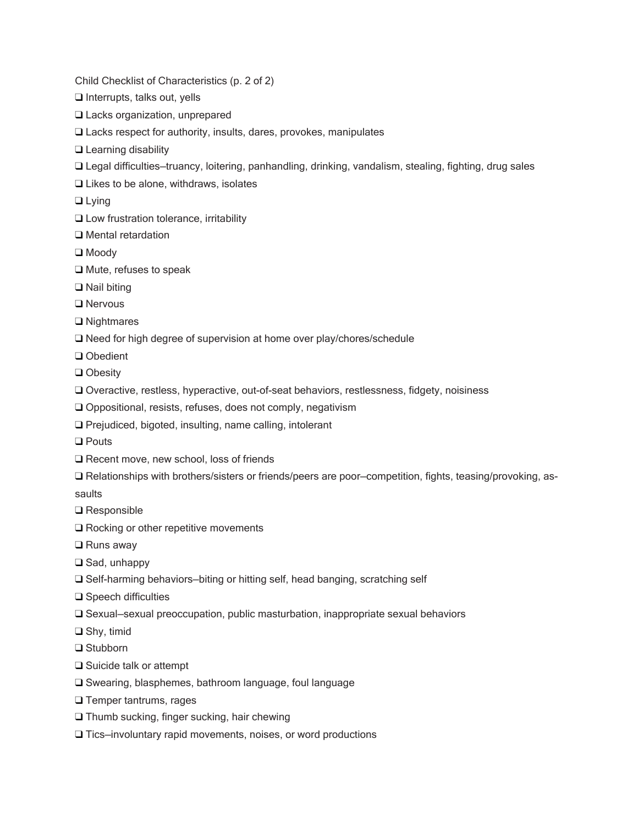Child Checklist of Characteristics (p. 2 of 2)

- ❑ Interrupts, talks out, yells
- ❑ Lacks organization, unprepared
- ❑ Lacks respect for authority, insults, dares, provokes, manipulates
- ❑ Learning disability
- ❑ Legal difficulties—truancy, loitering, panhandling, drinking, vandalism, stealing, fighting, drug sales
- ❑ Likes to be alone, withdraws, isolates
- ❑ Lying
- ❑ Low frustration tolerance, irritability
- ❑ Mental retardation
- ❑ Moody
- ❑ Mute, refuses to speak
- ❑ Nail biting
- ❑ Nervous
- ❑ Nightmares
- ❑ Need for high degree of supervision at home over play/chores/schedule
- ❑ Obedient
- ❑ Obesity
- ❑ Overactive, restless, hyperactive, out-of-seat behaviors, restlessness, fidgety, noisiness
- ❑ Oppositional, resists, refuses, does not comply, negativism
- ❑ Prejudiced, bigoted, insulting, name calling, intolerant
- ❑ Pouts
- ❑ Recent move, new school, loss of friends
- ❑ Relationships with brothers/sisters or friends/peers are poor—competition, fights, teasing/provoking, as-
- saults
- ❑ Responsible
- ❑ Rocking or other repetitive movements
- ❑ Runs away
- ❑ Sad, unhappy
- ❑ Self-harming behaviors—biting or hitting self, head banging, scratching self
- ❑ Speech difficulties
- ❑ Sexual—sexual preoccupation, public masturbation, inappropriate sexual behaviors
- ❑ Shy, timid
- ❑ Stubborn
- ❑ Suicide talk or attempt
- ❑ Swearing, blasphemes, bathroom language, foul language
- ❑ Temper tantrums, rages
- ❑ Thumb sucking, finger sucking, hair chewing
- ❑ Tics—involuntary rapid movements, noises, or word productions